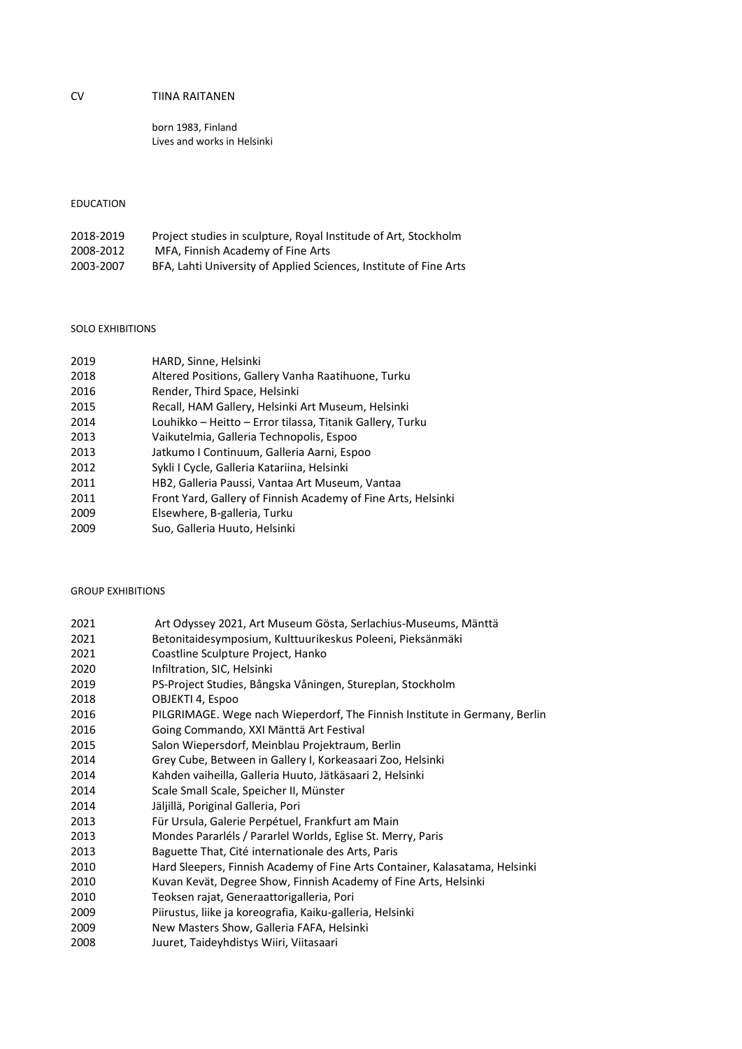# CV TIINA RAITANEN

born 1983, Finland Lives and works in Helsinki

# EDUCATION

| 2018-2019 | Project studies in sculpture, Royal Institude of Art, Stockholm   |
|-----------|-------------------------------------------------------------------|
| 2008-2012 | MFA, Finnish Academy of Fine Arts                                 |
| 2003-2007 | BFA, Lahti University of Applied Sciences, Institute of Fine Arts |

### SOLO EXHIBITIONS

| HARD, Sinne, Helsinki                                         |
|---------------------------------------------------------------|
| Altered Positions, Gallery Vanha Raatihuone, Turku            |
| Render, Third Space, Helsinki                                 |
| Recall, HAM Gallery, Helsinki Art Museum, Helsinki            |
| Louhikko - Heitto - Error tilassa, Titanik Gallery, Turku     |
| Vaikutelmia, Galleria Technopolis, Espoo                      |
| Jatkumo I Continuum, Galleria Aarni, Espoo                    |
| Sykli I Cycle, Galleria Katariina, Helsinki                   |
| HB2, Galleria Paussi, Vantaa Art Museum, Vantaa               |
| Front Yard, Gallery of Finnish Academy of Fine Arts, Helsinki |
| Elsewhere, B-galleria, Turku                                  |
| Suo, Galleria Huuto, Helsinki                                 |
|                                                               |

### GROUP EXHIBITIONS

| 2021 | Art Odyssey 2021, Art Museum Gösta, Serlachius-Museums, Mänttä              |
|------|-----------------------------------------------------------------------------|
| 2021 | Betonitaidesymposium, Kulttuurikeskus Poleeni, Pieksänmäki                  |
| 2021 | Coastline Sculpture Project, Hanko                                          |
| 2020 | Infiltration, SIC, Helsinki                                                 |
| 2019 | PS-Project Studies, Bångska Våningen, Stureplan, Stockholm                  |
| 2018 | OBJEKTI 4, Espoo                                                            |
| 2016 | PILGRIMAGE. Wege nach Wieperdorf, The Finnish Institute in Germany, Berlin  |
| 2016 | Going Commando, XXI Mänttä Art Festival                                     |
| 2015 | Salon Wiepersdorf, Meinblau Projektraum, Berlin                             |
| 2014 | Grey Cube, Between in Gallery I, Korkeasaari Zoo, Helsinki                  |
| 2014 | Kahden vaiheilla, Galleria Huuto, Jätkäsaari 2, Helsinki                    |
| 2014 | Scale Small Scale, Speicher II, Münster                                     |
| 2014 | Jäljillä, Poriginal Galleria, Pori                                          |
| 2013 | Für Ursula, Galerie Perpétuel, Frankfurt am Main                            |
| 2013 | Mondes Pararléls / Pararlel Worlds, Eglise St. Merry, Paris                 |
| 2013 | Baguette That, Cité internationale des Arts, Paris                          |
| 2010 | Hard Sleepers, Finnish Academy of Fine Arts Container, Kalasatama, Helsinki |
| 2010 | Kuvan Kevät, Degree Show, Finnish Academy of Fine Arts, Helsinki            |
| 2010 | Teoksen rajat, Generaattorigalleria, Pori                                   |
| 2009 | Piirustus, liike ja koreografia, Kaiku-galleria, Helsinki                   |
| 2009 | New Masters Show, Galleria FAFA, Helsinki                                   |
| 2008 | Juuret, Taideyhdistys Wiiri, Viitasaari                                     |
|      |                                                                             |